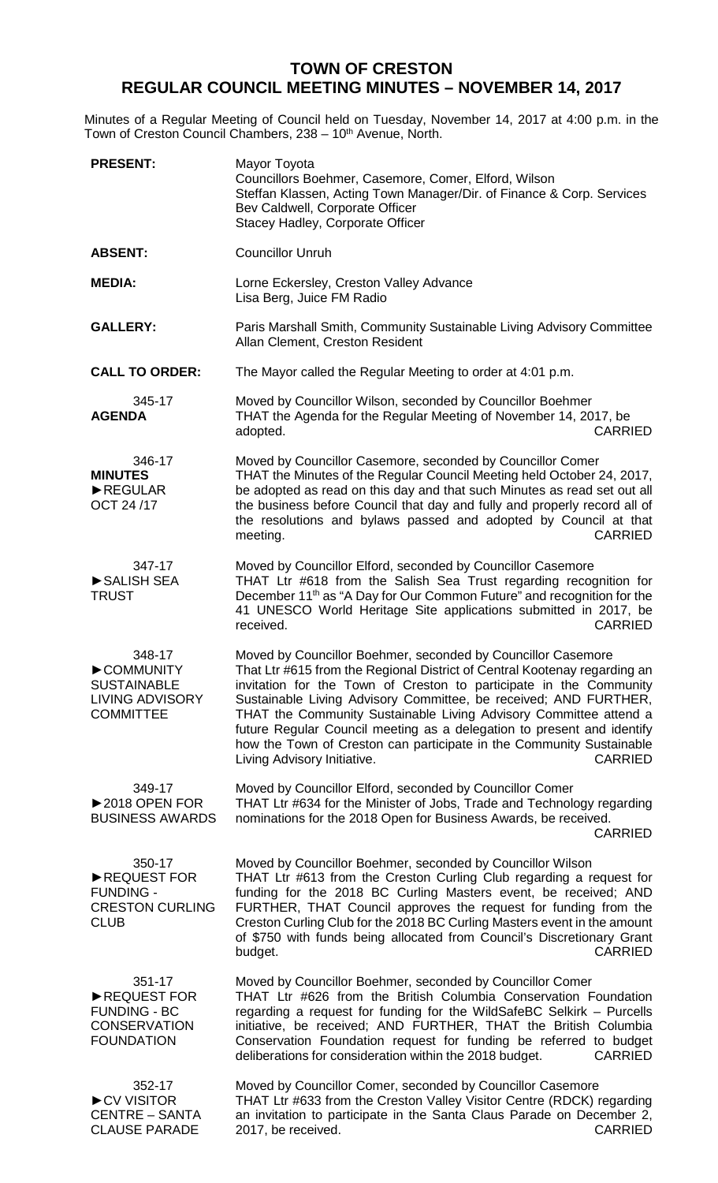## **TOWN OF CRESTON REGULAR COUNCIL MEETING MINUTES – NOVEMBER 14, 2017**

Minutes of a Regular Meeting of Council held on Tuesday, November 14, 2017 at 4:00 p.m. in the Town of Creston Council Chambers, 238 – 10<sup>th</sup> Avenue, North.

| <b>PRESENT:</b>                                                                          | Mayor Toyota<br>Councillors Boehmer, Casemore, Comer, Elford, Wilson<br>Steffan Klassen, Acting Town Manager/Dir. of Finance & Corp. Services<br>Bev Caldwell, Corporate Officer<br>Stacey Hadley, Corporate Officer                                                                                                                                                                                                                                                                                                                                        |
|------------------------------------------------------------------------------------------|-------------------------------------------------------------------------------------------------------------------------------------------------------------------------------------------------------------------------------------------------------------------------------------------------------------------------------------------------------------------------------------------------------------------------------------------------------------------------------------------------------------------------------------------------------------|
| <b>ABSENT:</b>                                                                           | <b>Councillor Unruh</b>                                                                                                                                                                                                                                                                                                                                                                                                                                                                                                                                     |
| <b>MEDIA:</b>                                                                            | Lorne Eckersley, Creston Valley Advance<br>Lisa Berg, Juice FM Radio                                                                                                                                                                                                                                                                                                                                                                                                                                                                                        |
| <b>GALLERY:</b>                                                                          | Paris Marshall Smith, Community Sustainable Living Advisory Committee<br>Allan Clement, Creston Resident                                                                                                                                                                                                                                                                                                                                                                                                                                                    |
| <b>CALL TO ORDER:</b>                                                                    | The Mayor called the Regular Meeting to order at 4:01 p.m.                                                                                                                                                                                                                                                                                                                                                                                                                                                                                                  |
| 345-17<br><b>AGENDA</b>                                                                  | Moved by Councillor Wilson, seconded by Councillor Boehmer<br>THAT the Agenda for the Regular Meeting of November 14, 2017, be<br>adopted.<br><b>CARRIED</b>                                                                                                                                                                                                                                                                                                                                                                                                |
| 346-17<br><b>MINUTES</b><br>$\blacktriangleright$ REGULAR<br>OCT 24/17                   | Moved by Councillor Casemore, seconded by Councillor Comer<br>THAT the Minutes of the Regular Council Meeting held October 24, 2017,<br>be adopted as read on this day and that such Minutes as read set out all<br>the business before Council that day and fully and properly record all of<br>the resolutions and bylaws passed and adopted by Council at that<br><b>CARRIED</b><br>meeting.                                                                                                                                                             |
| 347-17<br>SALISH SEA<br><b>TRUST</b>                                                     | Moved by Councillor Elford, seconded by Councillor Casemore<br>THAT Ltr #618 from the Salish Sea Trust regarding recognition for<br>December 11 <sup>th</sup> as "A Day for Our Common Future" and recognition for the<br>41 UNESCO World Heritage Site applications submitted in 2017, be<br><b>CARRIED</b><br>received.                                                                                                                                                                                                                                   |
| 348-17<br>COMMUNITY<br><b>SUSTAINABLE</b><br><b>LIVING ADVISORY</b><br><b>COMMITTEE</b>  | Moved by Councillor Boehmer, seconded by Councillor Casemore<br>That Ltr #615 from the Regional District of Central Kootenay regarding an<br>invitation for the Town of Creston to participate in the Community<br>Sustainable Living Advisory Committee, be received; AND FURTHER,<br>THAT the Community Sustainable Living Advisory Committee attend a<br>future Regular Council meeting as a delegation to present and identify<br>how the Town of Creston can participate in the Community Sustainable<br>Living Advisory Initiative.<br><b>CARRIED</b> |
| 349-17<br>$\triangleright$ 2018 OPEN FOR<br><b>BUSINESS AWARDS</b>                       | Moved by Councillor Elford, seconded by Councillor Comer<br>THAT Ltr #634 for the Minister of Jobs, Trade and Technology regarding<br>nominations for the 2018 Open for Business Awards, be received.<br><b>CARRIED</b>                                                                                                                                                                                                                                                                                                                                     |
| 350-17<br>REQUEST FOR<br><b>FUNDING -</b><br><b>CRESTON CURLING</b><br><b>CLUB</b>       | Moved by Councillor Boehmer, seconded by Councillor Wilson<br>THAT Ltr #613 from the Creston Curling Club regarding a request for<br>funding for the 2018 BC Curling Masters event, be received; AND<br>FURTHER, THAT Council approves the request for funding from the<br>Creston Curling Club for the 2018 BC Curling Masters event in the amount<br>of \$750 with funds being allocated from Council's Discretionary Grant<br><b>CARRIED</b><br>budget.                                                                                                  |
| 351-17<br>REQUEST FOR<br><b>FUNDING - BC</b><br><b>CONSERVATION</b><br><b>FOUNDATION</b> | Moved by Councillor Boehmer, seconded by Councillor Comer<br>THAT Ltr #626 from the British Columbia Conservation Foundation<br>regarding a request for funding for the WildSafeBC Selkirk - Purcells<br>initiative, be received; AND FURTHER, THAT the British Columbia<br>Conservation Foundation request for funding be referred to budget<br>deliberations for consideration within the 2018 budget.<br><b>CARRIED</b>                                                                                                                                  |
| 352-17<br>CV VISITOR<br><b>CENTRE - SANTA</b><br><b>CLAUSE PARADE</b>                    | Moved by Councillor Comer, seconded by Councillor Casemore<br>THAT Ltr #633 from the Creston Valley Visitor Centre (RDCK) regarding<br>an invitation to participate in the Santa Claus Parade on December 2,<br>2017, be received.<br><b>CARRIED</b>                                                                                                                                                                                                                                                                                                        |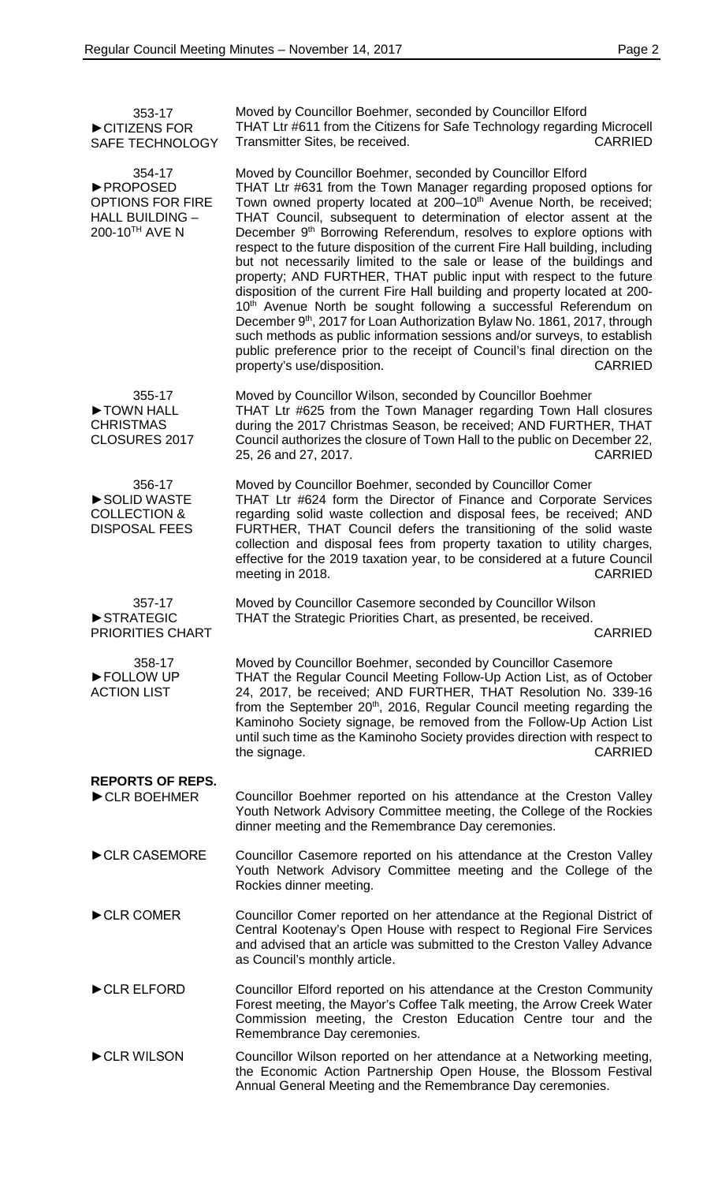| 353-17<br>CITIZENS FOR<br><b>SAFE TECHNOLOGY</b>                                                     | Moved by Councillor Boehmer, seconded by Councillor Elford<br>THAT Ltr #611 from the Citizens for Safe Technology regarding Microcell<br><b>CARRIED</b><br>Transmitter Sites, be received.                                                                                                                                                                                                                                                                                                                                                                                                                                                                                                                                                                                                                                                                                                                                                                                                                                                                                     |
|------------------------------------------------------------------------------------------------------|--------------------------------------------------------------------------------------------------------------------------------------------------------------------------------------------------------------------------------------------------------------------------------------------------------------------------------------------------------------------------------------------------------------------------------------------------------------------------------------------------------------------------------------------------------------------------------------------------------------------------------------------------------------------------------------------------------------------------------------------------------------------------------------------------------------------------------------------------------------------------------------------------------------------------------------------------------------------------------------------------------------------------------------------------------------------------------|
| 354-17<br><b>&gt;PROPOSED</b><br><b>OPTIONS FOR FIRE</b><br><b>HALL BUILDING -</b><br>200-10TH AVE N | Moved by Councillor Boehmer, seconded by Councillor Elford<br>THAT Ltr #631 from the Town Manager regarding proposed options for<br>Town owned property located at 200-10 <sup>th</sup> Avenue North, be received;<br>THAT Council, subsequent to determination of elector assent at the<br>December 9 <sup>th</sup> Borrowing Referendum, resolves to explore options with<br>respect to the future disposition of the current Fire Hall building, including<br>but not necessarily limited to the sale or lease of the buildings and<br>property; AND FURTHER, THAT public input with respect to the future<br>disposition of the current Fire Hall building and property located at 200-<br>10 <sup>th</sup> Avenue North be sought following a successful Referendum on<br>December 9 <sup>th</sup> , 2017 for Loan Authorization Bylaw No. 1861, 2017, through<br>such methods as public information sessions and/or surveys, to establish<br>public preference prior to the receipt of Council's final direction on the<br>property's use/disposition.<br><b>CARRIED</b> |
| 355-17<br>TOWN HALL<br><b>CHRISTMAS</b><br>CLOSURES 2017                                             | Moved by Councillor Wilson, seconded by Councillor Boehmer<br>THAT Ltr #625 from the Town Manager regarding Town Hall closures<br>during the 2017 Christmas Season, be received; AND FURTHER, THAT<br>Council authorizes the closure of Town Hall to the public on December 22,<br><b>CARRIED</b><br>25, 26 and 27, 2017.                                                                                                                                                                                                                                                                                                                                                                                                                                                                                                                                                                                                                                                                                                                                                      |
| 356-17<br>SOLID WASTE<br><b>COLLECTION &amp;</b><br><b>DISPOSAL FEES</b>                             | Moved by Councillor Boehmer, seconded by Councillor Comer<br>THAT Ltr #624 form the Director of Finance and Corporate Services<br>regarding solid waste collection and disposal fees, be received; AND<br>FURTHER, THAT Council defers the transitioning of the solid waste<br>collection and disposal fees from property taxation to utility charges,<br>effective for the 2019 taxation year, to be considered at a future Council<br>meeting in 2018.<br><b>CARRIED</b>                                                                                                                                                                                                                                                                                                                                                                                                                                                                                                                                                                                                     |
| 357-17<br>STRATEGIC<br><b>PRIORITIES CHART</b>                                                       | Moved by Councillor Casemore seconded by Councillor Wilson<br>THAT the Strategic Priorities Chart, as presented, be received.<br><b>CARRIED</b>                                                                                                                                                                                                                                                                                                                                                                                                                                                                                                                                                                                                                                                                                                                                                                                                                                                                                                                                |
| 358-17<br>FOLLOW UP<br><b>ACTION LIST</b>                                                            | Moved by Councillor Boehmer, seconded by Councillor Casemore<br>THAT the Regular Council Meeting Follow-Up Action List, as of October<br>24, 2017, be received; AND FURTHER, THAT Resolution No. 339-16<br>from the September 20 <sup>th</sup> , 2016, Regular Council meeting regarding the<br>Kaminoho Society signage, be removed from the Follow-Up Action List<br>until such time as the Kaminoho Society provides direction with respect to<br>CARRIED<br>the signage.                                                                                                                                                                                                                                                                                                                                                                                                                                                                                                                                                                                                   |
| <b>REPORTS OF REPS.</b><br>CLR BOEHMER                                                               | Councillor Boehmer reported on his attendance at the Creston Valley<br>Youth Network Advisory Committee meeting, the College of the Rockies<br>dinner meeting and the Remembrance Day ceremonies.                                                                                                                                                                                                                                                                                                                                                                                                                                                                                                                                                                                                                                                                                                                                                                                                                                                                              |
| CLR CASEMORE                                                                                         | Councillor Casemore reported on his attendance at the Creston Valley<br>Youth Network Advisory Committee meeting and the College of the<br>Rockies dinner meeting.                                                                                                                                                                                                                                                                                                                                                                                                                                                                                                                                                                                                                                                                                                                                                                                                                                                                                                             |
| CLR COMER                                                                                            | Councillor Comer reported on her attendance at the Regional District of<br>Central Kootenay's Open House with respect to Regional Fire Services<br>and advised that an article was submitted to the Creston Valley Advance<br>as Council's monthly article.                                                                                                                                                                                                                                                                                                                                                                                                                                                                                                                                                                                                                                                                                                                                                                                                                    |
| CLR ELFORD                                                                                           | Councillor Elford reported on his attendance at the Creston Community<br>Forest meeting, the Mayor's Coffee Talk meeting, the Arrow Creek Water<br>Commission meeting, the Creston Education Centre tour and the<br>Remembrance Day ceremonies.                                                                                                                                                                                                                                                                                                                                                                                                                                                                                                                                                                                                                                                                                                                                                                                                                                |
| CLR WILSON                                                                                           | Councillor Wilson reported on her attendance at a Networking meeting,<br>the Economic Action Partnership Open House, the Blossom Festival<br>Annual General Meeting and the Remembrance Day ceremonies.                                                                                                                                                                                                                                                                                                                                                                                                                                                                                                                                                                                                                                                                                                                                                                                                                                                                        |